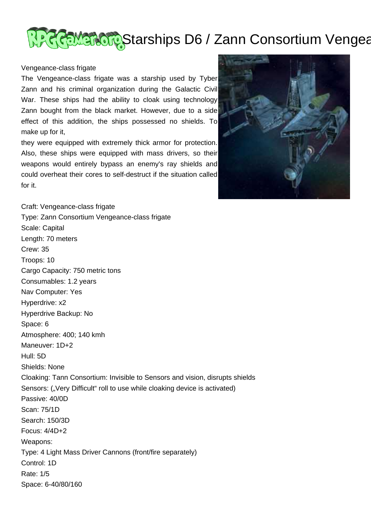

## Vengeance-class frigate

The Vengeance-class frigate was a starship used by Tyber Zann and his criminal organization during the Galactic Civil War. These ships had the ability to cloak using technology Zann bought from the black market. However, due to a side effect of this addition, the ships possessed no shields. To make up for it,

they were equipped with extremely thick armor for protection. Also, these ships were equipped with mass drivers, so their weapons would entirely bypass an enemy's ray shields and could overheat their cores to self-destruct if the situation called for it.



Craft: Vengeance-class frigate Type: Zann Consortium Vengeance-class frigate Scale: Capital Length: 70 meters Crew: 35 Troops: 10 Cargo Capacity: 750 metric tons Consumables: 1.2 years Nav Computer: Yes Hyperdrive: x2 Hyperdrive Backup: No Space: 6 Atmosphere: 400; 140 kmh Maneuver: 1D+2 Hull: 5D Shields: None Cloaking: Tann Consortium: Invisible to Sensors and vision, disrupts shields Sensors: ("Very Difficult" roll to use while cloaking device is activated) Passive: 40/0D Scan: 75/1D Search: 150/3D Focus: 4/4D+2 Weapons: Type: 4 Light Mass Driver Cannons (front/fire separately) Control: 1D Rate: 1/5 Space: 6-40/80/160